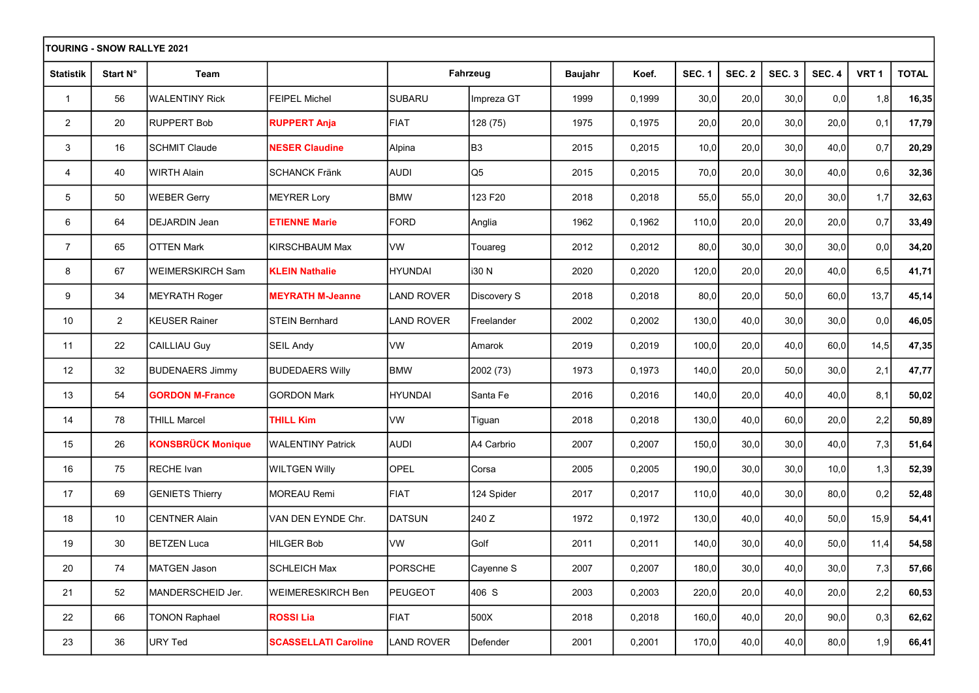| TOURING - SNOW RALLYE 2021 |                |                          |                             |                   |                |                |        |               |               |               |               |                  |              |
|----------------------------|----------------|--------------------------|-----------------------------|-------------------|----------------|----------------|--------|---------------|---------------|---------------|---------------|------------------|--------------|
| <b>Statistik</b>           | Start N°       | Team                     |                             |                   | Fahrzeug       | <b>Baujahr</b> | Koef.  | <b>SEC. 1</b> | <b>SEC. 2</b> | <b>SEC. 3</b> | <b>SEC. 4</b> | VRT <sub>1</sub> | <b>TOTAL</b> |
| $\mathbf{1}$               | 56             | <b>WALENTINY Rick</b>    | <b>FEIPEL Michel</b>        | <b>SUBARU</b>     | Impreza GT     | 1999           | 0,1999 | 30,0          | 20,0          | 30,0          | 0,0           | 1,8              | 16,35        |
| $\overline{2}$             | 20             | <b>RUPPERT Bob</b>       | <b>RUPPERT Anja</b>         | <b>FIAT</b>       | 128 (75)       | 1975           | 0,1975 | 20,0          | 20,0          | 30,0          | 20,0          | 0,1              | 17,79        |
| 3                          | 16             | <b>SCHMIT Claude</b>     | <b>NESER Claudine</b>       | Alpina            | B <sub>3</sub> | 2015           | 0,2015 | 10,0          | 20,0          | 30,0          | 40,0          | 0,7              | 20,29        |
| 4                          | 40             | <b>WIRTH Alain</b>       | <b>SCHANCK Fränk</b>        | <b>AUDI</b>       | Q <sub>5</sub> | 2015           | 0,2015 | 70,0          | 20,0          | 30,0          | 40,0          | 0,6              | 32,36        |
| 5                          | 50             | <b>WEBER Gerry</b>       | MEYRER Lory                 | <b>BMW</b>        | 123 F20        | 2018           | 0,2018 | 55,0          | 55,0          | 20,0          | 30,0          | 1,7              | 32,63        |
| 6                          | 64             | <b>IDEJARDIN Jean</b>    | <b>ETIENNE Marie</b>        | <b>FORD</b>       | Anglia         | 1962           | 0,1962 | 110,0         | 20,0          | 20,0          | 20,0          | 0,7              | 33,49        |
| $\overline{7}$             | 65             | <b>OTTEN Mark</b>        | KIRSCHBAUM Max              | <b>IVW</b>        | Touareg        | 2012           | 0,2012 | 80,0          | 30,0          | 30,0          | 30,0          | 0,0              | 34,20        |
| 8                          | 67             | <b>WEIMERSKIRCH Sam</b>  | <b>KLEIN Nathalie</b>       | HYUNDAI           | i30 N          | 2020           | 0,2020 | 120,0         | 20,0          | 20,0          | 40,0          | 6,5              | 41,71        |
| 9                          | 34             | <b>MEYRATH Roger</b>     | <b>MEYRATH M-Jeanne</b>     | <b>LAND ROVER</b> | Discovery S    | 2018           | 0,2018 | 80,0          | 20,0          | 50,0          | 60,0          | 13,7             | 45, 14       |
| 10                         | $\overline{2}$ | <b>I</b> KEUSER Rainer   | <b>STEIN Bernhard</b>       | <b>LAND ROVER</b> | Freelander     | 2002           | 0,2002 | 130,0         | 40,0          | 30,0          | 30,0          | 0,0              | 46,05        |
| 11                         | 22             | CAILLIAU Guy             | <b>SEIL Andy</b>            | VW                | Amarok         | 2019           | 0,2019 | 100,0         | 20,0          | 40,0          | 60,0          | 14,5             | 47,35        |
| 12                         | 32             | <b>BUDENAERS Jimmy</b>   | <b>BUDEDAERS Willy</b>      | <b>BMW</b>        | 2002 (73)      | 1973           | 0,1973 | 140,0         | 20,0          | 50,0          | 30,0          | 2,1              | 47,77        |
| 13                         | 54             | <b>GORDON M-France</b>   | <b>GORDON Mark</b>          | <b>HYUNDAI</b>    | Santa Fe       | 2016           | 0,2016 | 140,0         | 20,0          | 40,0          | 40,0          | 8,1              | 50,02        |
| 14                         | 78             | <b>THILL Marcel</b>      | <b>THILL Kim</b>            | <b>VW</b>         | Tiguan         | 2018           | 0,2018 | 130,0         | 40,0          | 60,0          | 20,0          | 2,2              | 50,89        |
| 15                         | 26             | <b>KONSBRÜCK Monique</b> | <b>WALENTINY Patrick</b>    | <b>AUDI</b>       | A4 Carbrio     | 2007           | 0,2007 | 150,0         | 30,0          | 30,0          | 40,0          | 7,3              | 51,64        |
| 16                         | 75             | <b>RECHE</b> Ivan        | <b>WILTGEN Willy</b>        | OPEL              | Corsa          | 2005           | 0,2005 | 190,0         | 30,0          | 30,0          | 10,0          | 1,3              | 52,39        |
| 17                         | 69             | <b>GENIETS Thierry</b>   | MOREAU Remi                 | <b>FIAT</b>       | 124 Spider     | 2017           | 0,2017 | 110,0         | 40,0          | 30,0          | 80,0          | 0,2              | 52,48        |
| 18                         | 10             | <b>CENTNER Alain</b>     | VAN DEN EYNDE Chr.          | <b>DATSUN</b>     | 240 Z          | 1972           | 0,1972 | 130,0         | 40,0          | 40,0          | 50,0          | 15,9             | 54,41        |
| 19                         | 30             | <b>BETZEN Luca</b>       | HILGER Bob                  | <b>VW</b>         | Golf           | 2011           | 0,2011 | 140,0         | 30,0          | 40,0          | 50,0          | 11,4             | 54,58        |
| 20                         | 74             | MATGEN Jason             | SCHLEICH Max                | PORSCHE           | Cayenne S      | 2007           | 0,2007 | 180,0         | 30,0          | 40,0          | 30,0          | 7,3              | 57,66        |
| 21                         | 52             | MANDERSCHEID Jer.        | <b>WEIMERESKIRCH Ben</b>    | PEUGEOT           | 406 S          | 2003           | 0,2003 | 220,0         | 20,0          | 40,0          | 20,0          | 2,2              | 60,53        |
| 22                         | 66             | <b>TONON Raphael</b>     | <b>ROSSILia</b>             | <b>FIAT</b>       | 500X           | 2018           | 0,2018 | 160,0         | 40,0          | 20,0          | 90,0          | 0,3              | 62,62        |
| 23                         | 36             | URY Ted                  | <b>SCASSELLATI Caroline</b> | <b>LAND ROVER</b> | Defender       | 2001           | 0,2001 | 170,0         | 40,0          | 40,0          | 80,0          | 1,9              | 66,41        |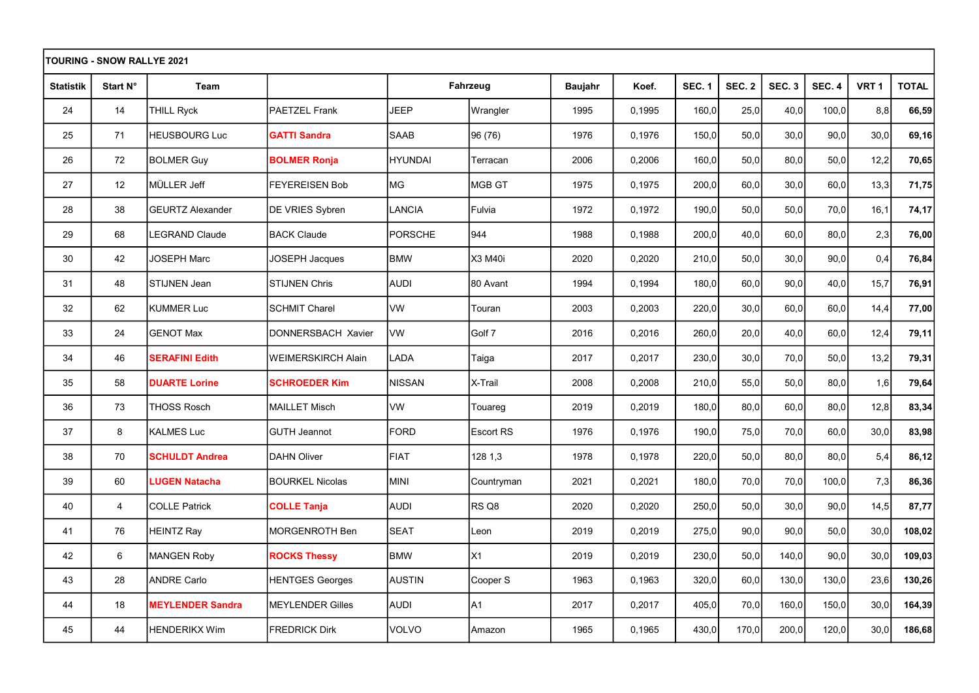| <b>TOURING - SNOW RALLYE 2021</b> |                 |                         |                         |               |                  |                |        |               |               |                  |                   |                  |              |
|-----------------------------------|-----------------|-------------------------|-------------------------|---------------|------------------|----------------|--------|---------------|---------------|------------------|-------------------|------------------|--------------|
| <b>Statistik</b>                  | Start N°        | Team                    |                         |               | Fahrzeug         | <b>Baujahr</b> | Koef.  | <b>SEC. 1</b> | <b>SEC. 2</b> | SEC <sub>3</sub> | SEC <sub>.4</sub> | VRT <sub>1</sub> | <b>TOTAL</b> |
| 24                                | 14              | THILL Ryck              | PAETZEL Frank           | <b>JEEP</b>   | Wrangler         | 1995           | 0,1995 | 160,0         | 25,0          | 40,0             | 100,0             | 8,8              | 66,59        |
| 25                                | 71              | <b>HEUSBOURG Luc</b>    | <b>GATTI Sandra</b>     | <b>SAAB</b>   | 96 (76)          | 1976           | 0,1976 | 150,0         | 50,0          | 30,0             | 90,0              | 30,0             | 69,16        |
| 26                                | 72              | <b>BOLMER Guy</b>       | <b>BOLMER Ronja</b>     | HYUNDAI       | Terracan         | 2006           | 0.2006 | 160,0         | 50,0          | 80.0             | 50.0              | 12,2             | 70,65        |
| 27                                | 12 <sup>°</sup> | MÜLLER Jeff             | <b>FEYEREISEN Bob</b>   | MG.           | MGB GT           | 1975           | 0,1975 | 200,0         | 60,0          | 30,0             | 60,0              | 13,3             | 71,75        |
| 28                                | 38              | <b>GEURTZ Alexander</b> | <b>DE VRIES Sybren</b>  | LANCIA        | Fulvia           | 1972           | 0,1972 | 190,0         | 50,0          | 50,0             | 70,0              | 16,1             | 74,17        |
| 29                                | 68              | LEGRAND Claude          | <b>BACK Claude</b>      | PORSCHE       | 944              | 1988           | 0,1988 | 200,0         | 40,0          | 60,0             | 80,0              | 2,3              | 76,00        |
| 30                                | 42              | <b>JOSEPH Marc</b>      | JOSEPH Jacques          | <b>BMW</b>    | X3 M40i          | 2020           | 0,2020 | 210,0         | 50,0          | 30,0             | 90,0              | 0,4              | 76,84        |
| 31                                | 48              | STIJNEN Jean            | <b>STIJNEN Chris</b>    | <b>AUDI</b>   | 80 Avant         | 1994           | 0,1994 | 180,0         | 60,0          | 90,0             | 40,0              | 15,7             | 76,91        |
| 32                                | 62              | <b>KUMMER Luc</b>       | <b>SCHMIT Charel</b>    | <b>VW</b>     | Touran           | 2003           | 0,2003 | 220,0         | 30,0          | 60,0             | 60,0              | 14,4             | 77,00        |
| 33                                | 24              | <b>GENOT Max</b>        | DONNERSBACH Xavier      | <b>VW</b>     | Golf 7           | 2016           | 0,2016 | 260,0         | 20,0          | 40,0             | 60,0              | 12,4             | 79,11        |
| 34                                | 46              | <b>SERAFINI Edith</b>   | WEIMERSKIRCH Alain      | <b>LADA</b>   | Taiga            | 2017           | 0,2017 | 230,0         | 30,0          | 70,0             | 50,0              | 13,2             | 79,31        |
| 35                                | 58              | <b>DUARTE Lorine</b>    | <b>SCHROEDER Kim</b>    | <b>NISSAN</b> | X-Trail          | 2008           | 0,2008 | 210,0         | 55,0          | 50,0             | 80,0              | 1,6              | 79,64        |
| $36\,$                            | 73              | <b>THOSS Rosch</b>      | <b>MAILLET Misch</b>    | <b>VW</b>     | Touareg          | 2019           | 0,2019 | 180,0         | 80,0          | 60,0             | 80,0              | 12,8             | 83,34        |
| 37                                | 8               | <b>KALMES Luc</b>       | <b>GUTH Jeannot</b>     | FORD          | <b>Escort RS</b> | 1976           | 0,1976 | 190,0         | 75,0          | 70,0             | 60,0              | 30,0             | 83,98        |
| 38                                | 70              | <b>SCHULDT Andrea</b>   | <b>DAHN Oliver</b>      | FIAT          | 128 1,3          | 1978           | 0,1978 | 220,0         | 50,0          | 80,0             | 80,0              | 5,4              | 86,12        |
| 39                                | 60              | <b>LUGEN Natacha</b>    | <b>BOURKEL Nicolas</b>  | Imini         | Countryman       | 2021           | 0,2021 | 180,0         | 70,0          | 70,0             | 100,0             | 7,3              | 86,36        |
| 40                                | $\overline{4}$  | <b>COLLE Patrick</b>    | <b>COLLE Tanja</b>      | AUDI          | RS Q8            | 2020           | 0,2020 | 250,0         | 50,0          | 30,0             | 90,0              | 14,5             | 87,77        |
| 41                                | 76              | HEINTZ Ray              | <b>MORGENROTH Ben</b>   | <b>SEAT</b>   | Leon             | 2019           | 0,2019 | 275,0         | 90,0          | 90,0             | 50,0              | 30,0             | 108,02       |
| 42                                | 6               | MANGEN Roby             | <b>ROCKS Thessy</b>     | <b>BMW</b>    | X1               | 2019           | 0,2019 | 230,0         | 50,0          | 140,0            | 90,0              | 30,0             | 109,03       |
| 43                                | 28              | <b>ANDRE Carlo</b>      | <b>HENTGES Georges</b>  | <b>AUSTIN</b> | Cooper S         | 1963           | 0,1963 | 320,0         | 60,0          | 130,0            | 130,0             | 23,6             | 130,26       |
| 44                                | 18              | <b>MEYLENDER Sandra</b> | <b>MEYLENDER Gilles</b> | <b>AUDI</b>   | A1               | 2017           | 0,2017 | 405,0         | 70,0          | 160,0            | 150,0             | 30,0             | 164,39       |
| 45                                | 44              | <b>HENDERIKX Wim</b>    | <b>FREDRICK Dirk</b>    | <b>VOLVO</b>  | Amazon           | 1965           | 0,1965 | 430,0         | 170,0         | 200,0            | 120,0             | 30,0             | 186,68       |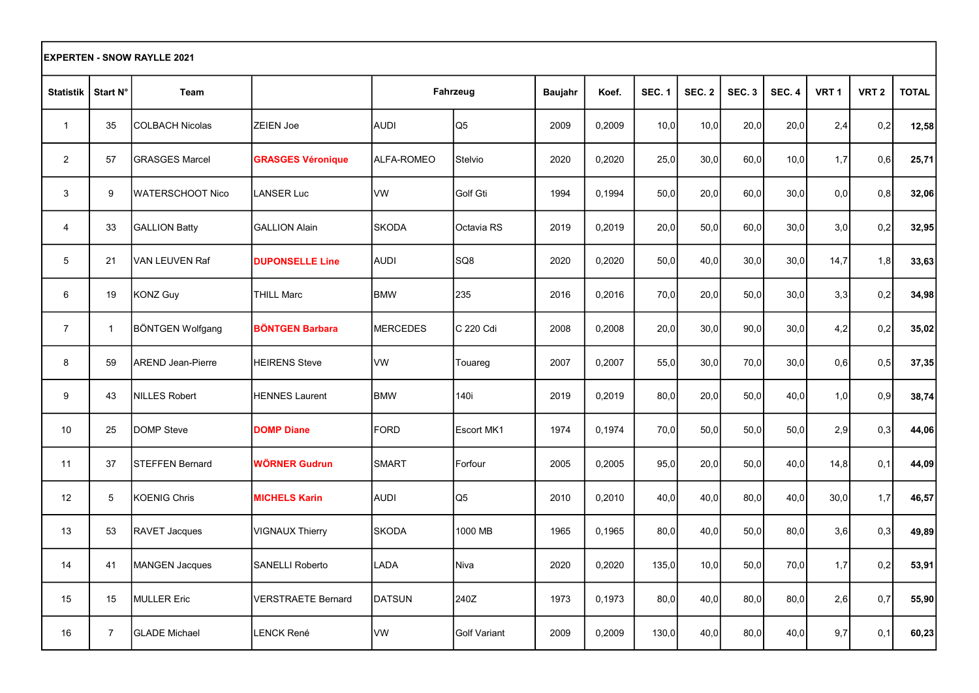| <b>EXPERTEN - SNOW RAYLLE 2021</b> |                |                          |                           |                 |                     |         |        |               |                  |                   |               |                  |                  |              |
|------------------------------------|----------------|--------------------------|---------------------------|-----------------|---------------------|---------|--------|---------------|------------------|-------------------|---------------|------------------|------------------|--------------|
| <b>Statistik</b>                   | Start N°       | Team                     |                           |                 | Fahrzeug            | Baujahr | Koef.  | <b>SEC. 1</b> | SEC <sub>2</sub> | SEC <sub>.3</sub> | <b>SEC. 4</b> | VRT <sub>1</sub> | VRT <sub>2</sub> | <b>TOTAL</b> |
| $\mathbf{1}$                       | 35             | <b>COLBACH Nicolas</b>   | <b>ZEIEN Joe</b>          | <b>AUDI</b>     | Q5                  | 2009    | 0,2009 | 10,0          | 10,0             | 20,0              | 20,0          | 2,4              | 0,2              | 12,58        |
| $\overline{2}$                     | 57             | <b>GRASGES Marcel</b>    | <b>GRASGES Véronique</b>  | ALFA-ROMEO      | Stelvio             | 2020    | 0,2020 | 25,0          | 30,0             | 60,0              | 10,0          | 1,7              | 0,6              | 25,71        |
| 3                                  | 9              | <b>WATERSCHOOT Nico</b>  | <b>LANSER Luc</b>         | <b>VW</b>       | Golf Gti            | 1994    | 0.1994 | 50,0          | 20,0             | 60,0              | 30,0          | 0.0              | 0,8              | 32,06        |
| $\overline{4}$                     | 33             | <b>GALLION Batty</b>     | <b>GALLION Alain</b>      | <b>SKODA</b>    | <b>I</b> Octavia RS | 2019    | 0,2019 | 20,0          | 50,0             | 60,0              | 30,0          | 3,0              | 0,2              | 32,95        |
| $\overline{5}$                     | 21             | VAN LEUVEN Raf           | <b>DUPONSELLE Line</b>    | <b>AUDI</b>     | SQ8                 | 2020    | 0,2020 | 50,0          | 40,0             | 30,0              | 30,0          | 14,7             | 1,8              | 33,63        |
| 6                                  | 19             | <b>KONZ Guy</b>          | <b>THILL Marc</b>         | <b>BMW</b>      | 235                 | 2016    | 0,2016 | 70,0          | 20,0             | 50,0              | 30,0          | 3,3              | 0,2              | 34,98        |
| $\overline{7}$                     | $\mathbf{1}$   | <b>BÖNTGEN Wolfgang</b>  | <b>BÖNTGEN Barbara</b>    | <b>MERCEDES</b> | C 220 Cdi           | 2008    | 0,2008 | 20,0          | 30,0             | 90,0              | 30,0          | 4,2              | 0,2              | 35,02        |
| 8                                  | 59             | <b>AREND Jean-Pierre</b> | <b>HEIRENS Steve</b>      | <b>VW</b>       | Touareg             | 2007    | 0,2007 | 55,0          | 30,0             | 70,0              | 30,0          | 0,6              | 0,5              | 37,35        |
| 9                                  | 43             | <b>NILLES Robert</b>     | <b>HENNES Laurent</b>     | <b>BMW</b>      | 140i                | 2019    | 0.2019 | 80,0          | 20,0             | 50,0              | 40,0          | 1,0              | 0,9              | 38,74        |
| 10 <sup>1</sup>                    | 25             | <b>DOMP Steve</b>        | <b>DOMP Diane</b>         | <b>FORD</b>     | Escort MK1          | 1974    | 0,1974 | 70,0          | 50,0             | 50,0              | 50,0          | 2.9              | 0,3              | 44,06        |
| 11                                 | 37             | <b>STEFFEN Bernard</b>   | WÖRNER Gudrun             | <b>SMART</b>    | Forfour             | 2005    | 0,2005 | 95,0          | 20,0             | 50,0              | 40,0          | 14,8             | 0,1              | 44,09        |
| 12 <sup>2</sup>                    | 5              | <b>KOENIG Chris</b>      | <b>MICHELS Karin</b>      | <b>AUDI</b>     | Q5                  | 2010    | 0,2010 | 40,0          | 40,0             | 80,0              | 40,0          | 30,0             | 1,7              | 46,57        |
| 13                                 | 53             | RAVET Jacques            | <b>VIGNAUX Thierry</b>    | <b>SKODA</b>    | 1000 MB             | 1965    | 0,1965 | 80,0          | 40,0             | 50,0              | 80,0          | 3,6              | 0,3              | 49,89        |
| 14                                 | 41             | <b>MANGEN Jacques</b>    | <b>SANELLI Roberto</b>    | LADA            | Niva                | 2020    | 0,2020 | 135,0         | 10,0             | 50,0              | 70,0          | 1,7              | 0,2              | 53,91        |
| 15                                 | 15             | <b>MULLER Eric</b>       | <b>VERSTRAETE Bernard</b> | <b>DATSUN</b>   | 240Z                | 1973    | 0.1973 | 80,0          | 40,0             | 80,0              | 80,0          | 2,6              | 0,7              | 55,90        |
| 16                                 | $\overline{7}$ | <b>GLADE Michael</b>     | LENCK René                | <b>VW</b>       | Golf Variant        | 2009    | 0,2009 | 130,0         | 40,0             | 80,0              | 40,0          | 9,7              | 0,1              | 60,23        |